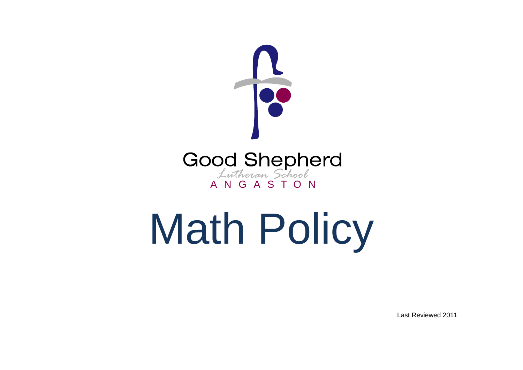

# Math Policy

Last Reviewed 2011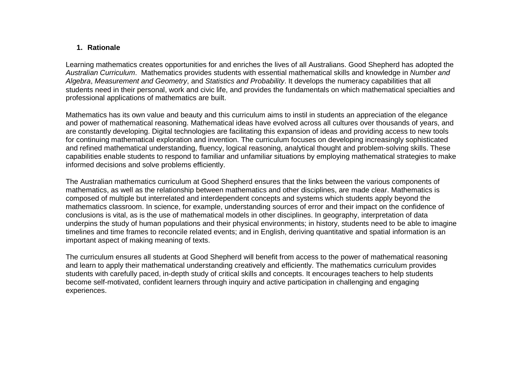# **1. Rationale**

Learning mathematics creates opportunities for and enriches the lives of all Australians. Good Shepherd has adopted the Australian Curriculum. Mathematics provides students with essential mathematical skills and knowledge in Number and Algebra, Measurement and Geometry, and Statistics and Probability. It develops the numeracy capabilities that all students need in their personal, work and civic life, and provides the fundamentals on which mathematical specialties and professional applications of mathematics are built.

Mathematics has its own value and beauty and this curriculum aims to instil in students an appreciation of the elegance and power of mathematical reasoning. Mathematical ideas have evolved across all cultures over thousands of years, and are constantly developing. Digital technologies are facilitating this expansion of ideas and providing access to new tools for continuing mathematical exploration and invention. The curriculum focuses on developing increasingly sophisticated and refined mathematical understanding, fluency, logical reasoning, analytical thought and problem-solving skills. These capabilities enable students to respond to familiar and unfamiliar situations by employing mathematical strategies to make informed decisions and solve problems efficiently.

The Australian mathematics curriculum at Good Shepherd ensures that the links between the various components of mathematics, as well as the relationship between mathematics and other disciplines, are made clear. Mathematics is composed of multiple but interrelated and interdependent concepts and systems which students apply beyond the mathematics classroom. In science, for example, understanding sources of error and their impact on the confidence of conclusions is vital, as is the use of mathematical models in other disciplines. In geography, interpretation of data underpins the study of human populations and their physical environments; in history, students need to be able to imagine timelines and time frames to reconcile related events; and in English, deriving quantitative and spatial information is an important aspect of making meaning of texts.

The curriculum ensures all students at Good Shepherd will benefit from access to the power of mathematical reasoning and learn to apply their mathematical understanding creatively and efficiently. The mathematics curriculum provides students with carefully paced, in-depth study of critical skills and concepts. It encourages teachers to help students become self-motivated, confident learners through inquiry and active participation in challenging and engaging experiences.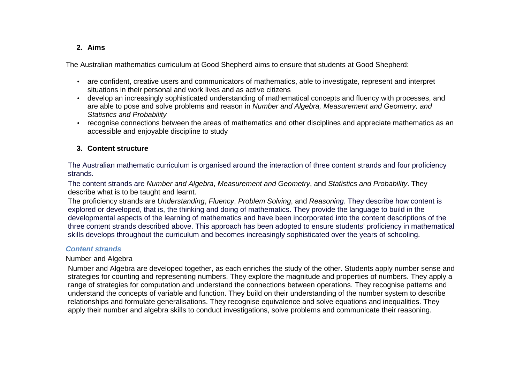# **2. Aims**

The Australian mathematics curriculum at Good Shepherd aims to ensure that students at Good Shepherd:

- are confident, creative users and communicators of mathematics, able to investigate, represent and interpret situations in their personal and work lives and as active citizens
- develop an increasingly sophisticated understanding of mathematical concepts and fluency with processes, and are able to pose and solve problems and reason in Number and Algebra, Measurement and Geometry, and Statistics and Probability
- recognise connections between the areas of mathematics and other disciplines and appreciate mathematics as an accessible and enjoyable discipline to study

# **3. Content structure**

The Australian mathematic curriculum is organised around the interaction of three content strands and four proficiency strands.

The content strands are Number and Algebra, Measurement and Geometry, and Statistics and Probability. They describe what is to be taught and learnt.

The proficiency strands are Understanding, Fluency, Problem Solving, and Reasoning. They describe how content is explored or developed, that is, the thinking and doing of mathematics. They provide the language to build in the developmental aspects of the learning of mathematics and have been incorporated into the content descriptions of the three content strands described above. This approach has been adopted to ensure students' proficiency in mathematical skills develops throughout the curriculum and becomes increasingly sophisticated over the years of schooling.

# **Content strands**

# Number and Algebra

Number and Algebra are developed together, as each enriches the study of the other. Students apply number sense and strategies for counting and representing numbers. They explore the magnitude and properties of numbers. They apply a range of strategies for computation and understand the connections between operations. They recognise patterns and understand the concepts of variable and function. They build on their understanding of the number system to describe relationships and formulate generalisations. They recognise equivalence and solve equations and inequalities. They apply their number and algebra skills to conduct investigations, solve problems and communicate their reasoning.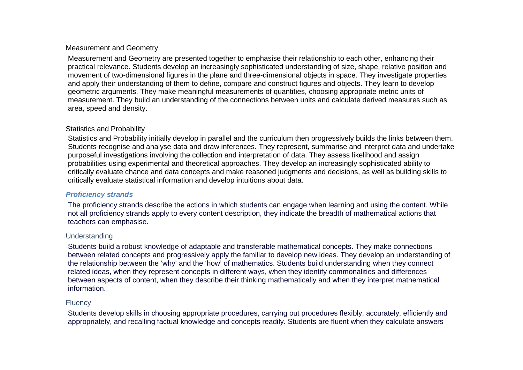# Measurement and Geometry

Measurement and Geometry are presented together to emphasise their relationship to each other, enhancing their practical relevance. Students develop an increasingly sophisticated understanding of size, shape, relative position and movement of two-dimensional figures in the plane and three-dimensional objects in space. They investigate properties and apply their understanding of them to define, compare and construct figures and objects. They learn to develop geometric arguments. They make meaningful measurements of quantities, choosing appropriate metric units of measurement. They build an understanding of the connections between units and calculate derived measures such as area, speed and density.

# Statistics and Probability

Statistics and Probability initially develop in parallel and the curriculum then progressively builds the links between them. Students recognise and analyse data and draw inferences. They represent, summarise and interpret data and undertake purposeful investigations involving the collection and interpretation of data. They assess likelihood and assign probabilities using experimental and theoretical approaches. They develop an increasingly sophisticated ability to critically evaluate chance and data concepts and make reasoned judgments and decisions, as well as building skills to critically evaluate statistical information and develop intuitions about data.

# **Proficiency strands**

The proficiency strands describe the actions in which students can engage when learning and using the content. While not all proficiency strands apply to every content description, they indicate the breadth of mathematical actions that teachers can emphasise.

# Understanding

Students build a robust knowledge of adaptable and transferable mathematical concepts. They make connections between related concepts and progressively apply the familiar to develop new ideas. They develop an understanding of the relationship between the 'why' and the 'how' of mathematics. Students build understanding when they connect related ideas, when they represent concepts in different ways, when they identify commonalities and differences between aspects of content, when they describe their thinking mathematically and when they interpret mathematical information.

# **Fluency**

Students develop skills in choosing appropriate procedures, carrying out procedures flexibly, accurately, efficiently and appropriately, and recalling factual knowledge and concepts readily. Students are fluent when they calculate answers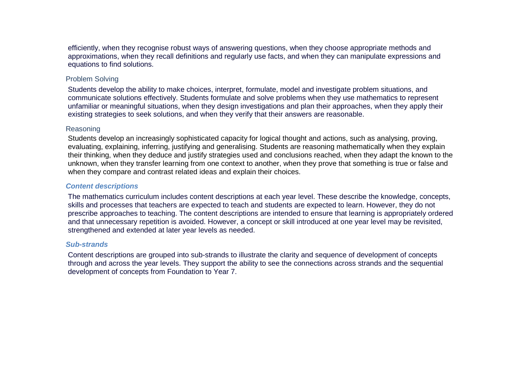efficiently, when they recognise robust ways of answering questions, when they choose appropriate methods and approximations, when they recall definitions and regularly use facts, and when they can manipulate expressions and equations to find solutions.

#### Problem Solving

Students develop the ability to make choices, interpret, formulate, model and investigate problem situations, and communicate solutions effectively. Students formulate and solve problems when they use mathematics to represent unfamiliar or meaningful situations, when they design investigations and plan their approaches, when they apply their existing strategies to seek solutions, and when they verify that their answers are reasonable.

# Reasoning

Students develop an increasingly sophisticated capacity for logical thought and actions, such as analysing, proving, evaluating, explaining, inferring, justifying and generalising. Students are reasoning mathematically when they explain their thinking, when they deduce and justify strategies used and conclusions reached, when they adapt the known to the unknown, when they transfer learning from one context to another, when they prove that something is true or false and when they compare and contrast related ideas and explain their choices.

# **Content descriptions**

The mathematics curriculum includes content descriptions at each year level. These describe the knowledge, concepts, skills and processes that teachers are expected to teach and students are expected to learn. However, they do not prescribe approaches to teaching. The content descriptions are intended to ensure that learning is appropriately ordered and that unnecessary repetition is avoided. However, a concept or skill introduced at one year level may be revisited, strengthened and extended at later year levels as needed.

# **Sub-strands**

Content descriptions are grouped into sub-strands to illustrate the clarity and sequence of development of concepts through and across the year levels. They support the ability to see the connections across strands and the sequential development of concepts from Foundation to Year 7.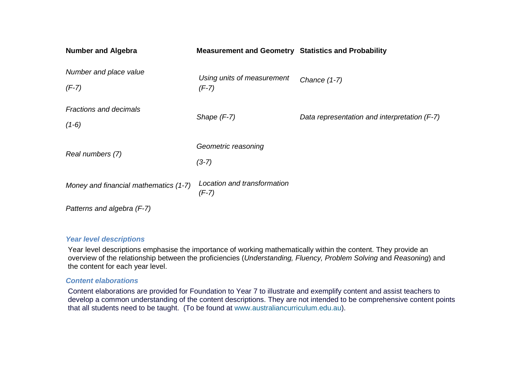| <b>Number and Algebra</b>                | <b>Measurement and Geometry Statistics and Probability</b> |                                              |
|------------------------------------------|------------------------------------------------------------|----------------------------------------------|
| Number and place value<br>$(F-7)$        | Using units of measurement<br>$(F-7)$                      | Chance $(1-7)$                               |
| <b>Fractions and decimals</b><br>$(1-6)$ | Shape $(F-7)$                                              | Data representation and interpretation (F-7) |
| Real numbers (7)                         | Geometric reasoning<br>$(3-7)$                             |                                              |
| Money and financial mathematics (1-7)    | Location and transformation<br>$(F-7)$                     |                                              |
| Patterns and algebra (F-7)               |                                                            |                                              |

#### **Year level descriptions**

Year level descriptions emphasise the importance of working mathematically within the content. They provide an overview of the relationship between the proficiencies (Understanding, Fluency, Problem Solving and Reasoning) and the content for each year level.

# **Content elaborations**

Content elaborations are provided for Foundation to Year 7 to illustrate and exemplify content and assist teachers to develop a common understanding of the content descriptions. They are not intended to be comprehensive content points that all students need to be taught. (To be found at www.australiancurriculum.edu.au).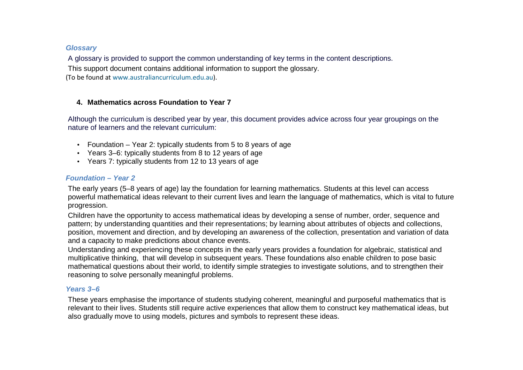# **Glossary**

A glossary is provided to support the common understanding of key terms in the content descriptions. This support document contains additional information to support the glossary. (To be found at www.australiancurriculum.edu.au).

# **4. Mathematics across Foundation to Year 7**

Although the curriculum is described year by year, this document provides advice across four year groupings on the nature of learners and the relevant curriculum:

- Foundation Year 2: typically students from 5 to 8 years of age
- Years 3–6: typically students from 8 to 12 years of age
- Years 7: typically students from 12 to 13 years of age

# **Foundation – Year 2**

The early years (5–8 years of age) lay the foundation for learning mathematics. Students at this level can access powerful mathematical ideas relevant to their current lives and learn the language of mathematics, which is vital to future progression.

Children have the opportunity to access mathematical ideas by developing a sense of number, order, sequence and pattern; by understanding quantities and their representations; by learning about attributes of objects and collections, position, movement and direction, and by developing an awareness of the collection, presentation and variation of data and a capacity to make predictions about chance events.

Understanding and experiencing these concepts in the early years provides a foundation for algebraic, statistical and multiplicative thinking, that will develop in subsequent years. These foundations also enable children to pose basic mathematical questions about their world, to identify simple strategies to investigate solutions, and to strengthen their reasoning to solve personally meaningful problems.

# **Years 3–6**

These years emphasise the importance of students studying coherent, meaningful and purposeful mathematics that is relevant to their lives. Students still require active experiences that allow them to construct key mathematical ideas, but also gradually move to using models, pictures and symbols to represent these ideas.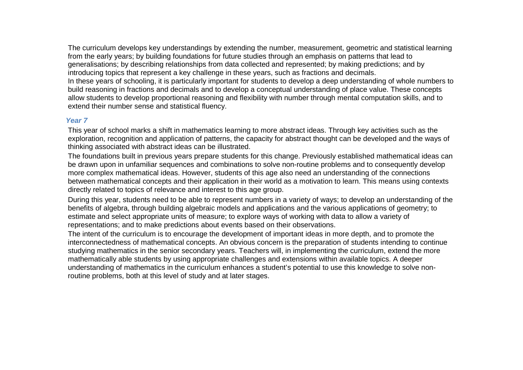The curriculum develops key understandings by extending the number, measurement, geometric and statistical learning from the early years; by building foundations for future studies through an emphasis on patterns that lead to generalisations; by describing relationships from data collected and represented; by making predictions; and by introducing topics that represent a key challenge in these years, such as fractions and decimals. In these years of schooling, it is particularly important for students to develop a deep understanding of whole numbers to build reasoning in fractions and decimals and to develop a conceptual understanding of place value. These concepts allow students to develop proportional reasoning and flexibility with number through mental computation skills, and to extend their number sense and statistical fluency.

# **Year 7**

This year of school marks a shift in mathematics learning to more abstract ideas. Through key activities such as the exploration, recognition and application of patterns, the capacity for abstract thought can be developed and the ways of thinking associated with abstract ideas can be illustrated.

The foundations built in previous years prepare students for this change. Previously established mathematical ideas can be drawn upon in unfamiliar sequences and combinations to solve non-routine problems and to consequently develop more complex mathematical ideas. However, students of this age also need an understanding of the connections between mathematical concepts and their application in their world as a motivation to learn. This means using contexts directly related to topics of relevance and interest to this age group.

During this year, students need to be able to represent numbers in a variety of ways; to develop an understanding of the benefits of algebra, through building algebraic models and applications and the various applications of geometry; to estimate and select appropriate units of measure; to explore ways of working with data to allow a variety of representations; and to make predictions about events based on their observations.

The intent of the curriculum is to encourage the development of important ideas in more depth, and to promote the interconnectedness of mathematical concepts. An obvious concern is the preparation of students intending to continue studying mathematics in the senior secondary years. Teachers will, in implementing the curriculum, extend the more mathematically able students by using appropriate challenges and extensions within available topics. A deeper understanding of mathematics in the curriculum enhances a student's potential to use this knowledge to solve nonroutine problems, both at this level of study and at later stages.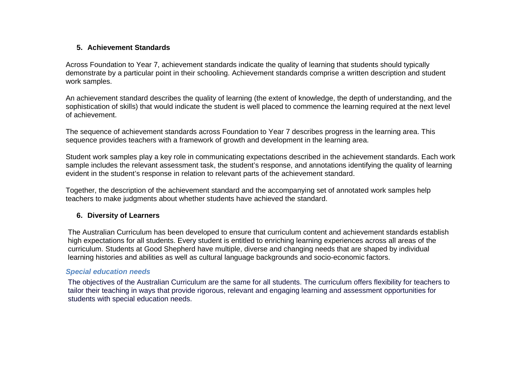# **5. Achievement Standards**

Across Foundation to Year 7, achievement standards indicate the quality of learning that students should typically demonstrate by a particular point in their schooling. Achievement standards comprise a written description and student work samples.

An achievement standard describes the quality of learning (the extent of knowledge, the depth of understanding, and the sophistication of skills) that would indicate the student is well placed to commence the learning required at the next level of achievement.

The sequence of achievement standards across Foundation to Year 7 describes progress in the learning area. This sequence provides teachers with a framework of growth and development in the learning area.

Student work samples play a key role in communicating expectations described in the achievement standards. Each work sample includes the relevant assessment task, the student's response, and annotations identifying the quality of learning evident in the student's response in relation to relevant parts of the achievement standard.

Together, the description of the achievement standard and the accompanying set of annotated work samples help teachers to make judgments about whether students have achieved the standard.

# **6. Diversity of Learners**

The Australian Curriculum has been developed to ensure that curriculum content and achievement standards establish high expectations for all students. Every student is entitled to enriching learning experiences across all areas of the curriculum. Students at Good Shepherd have multiple, diverse and changing needs that are shaped by individual learning histories and abilities as well as cultural language backgrounds and socio-economic factors.

# **Special education needs**

The objectives of the Australian Curriculum are the same for all students. The curriculum offers flexibility for teachers to tailor their teaching in ways that provide rigorous, relevant and engaging learning and assessment opportunities for students with special education needs.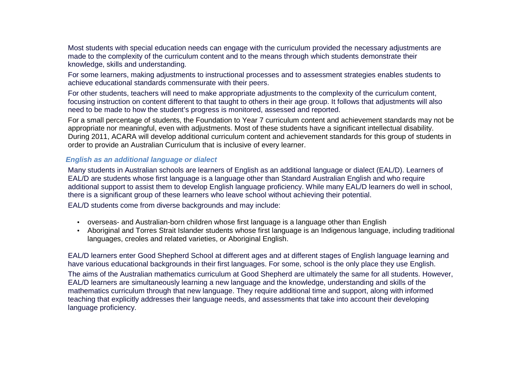Most students with special education needs can engage with the curriculum provided the necessary adjustments are made to the complexity of the curriculum content and to the means through which students demonstrate their knowledge, skills and understanding.

For some learners, making adjustments to instructional processes and to assessment strategies enables students to achieve educational standards commensurate with their peers.

For other students, teachers will need to make appropriate adjustments to the complexity of the curriculum content, focusing instruction on content different to that taught to others in their age group. It follows that adjustments will also need to be made to how the student's progress is monitored, assessed and reported.

For a small percentage of students, the Foundation to Year 7 curriculum content and achievement standards may not be appropriate nor meaningful, even with adjustments. Most of these students have a significant intellectual disability. During 2011, ACARA will develop additional curriculum content and achievement standards for this group of students in order to provide an Australian Curriculum that is inclusive of every learner.

# **English as an additional language or dialect**

Many students in Australian schools are learners of English as an additional language or dialect (EAL/D). Learners of EAL/D are students whose first language is a language other than Standard Australian English and who require additional support to assist them to develop English language proficiency. While many EAL/D learners do well in school, there is a significant group of these learners who leave school without achieving their potential.

EAL/D students come from diverse backgrounds and may include:

- overseas- and Australian-born children whose first language is a language other than English
- Aboriginal and Torres Strait Islander students whose first language is an Indigenous language, including traditional languages, creoles and related varieties, or Aboriginal English.

EAL/D learners enter Good Shepherd School at different ages and at different stages of English language learning and have various educational backgrounds in their first languages. For some, school is the only place they use English. The aims of the Australian mathematics curriculum at Good Shepherd are ultimately the same for all students. However, EAL/D learners are simultaneously learning a new language and the knowledge, understanding and skills of the mathematics curriculum through that new language. They require additional time and support, along with informed teaching that explicitly addresses their language needs, and assessments that take into account their developing language proficiency.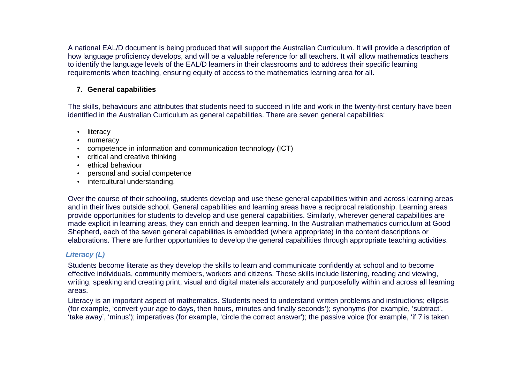A national EAL/D document is being produced that will support the Australian Curriculum. It will provide a description of how language proficiency develops, and will be a valuable reference for all teachers. It will allow mathematics teachers to identify the language levels of the EAL/D learners in their classrooms and to address their specific learning requirements when teaching, ensuring equity of access to the mathematics learning area for all.

# **7. General capabilities**

The skills, behaviours and attributes that students need to succeed in life and work in the twenty-first century have been identified in the Australian Curriculum as general capabilities. There are seven general capabilities:

- literacy
- numeracy
- competence in information and communication technology (ICT)
- critical and creative thinking
- ethical behaviour
- personal and social competence
- intercultural understanding.

Over the course of their schooling, students develop and use these general capabilities within and across learning areas and in their lives outside school. General capabilities and learning areas have a reciprocal relationship. Learning areas provide opportunities for students to develop and use general capabilities. Similarly, wherever general capabilities are made explicit in learning areas, they can enrich and deepen learning. In the Australian mathematics curriculum at Good Shepherd, each of the seven general capabilities is embedded (where appropriate) in the content descriptions or elaborations. There are further opportunities to develop the general capabilities through appropriate teaching activities.

# **Literacy (L)**

Students become literate as they develop the skills to learn and communicate confidently at school and to become effective individuals, community members, workers and citizens. These skills include listening, reading and viewing, writing, speaking and creating print, visual and digital materials accurately and purposefully within and across all learning areas.

Literacy is an important aspect of mathematics. Students need to understand written problems and instructions; ellipsis (for example, 'convert your age to days, then hours, minutes and finally seconds'); synonyms (for example, 'subtract', 'take away', 'minus'); imperatives (for example, 'circle the correct answer'); the passive voice (for example, 'if 7 is taken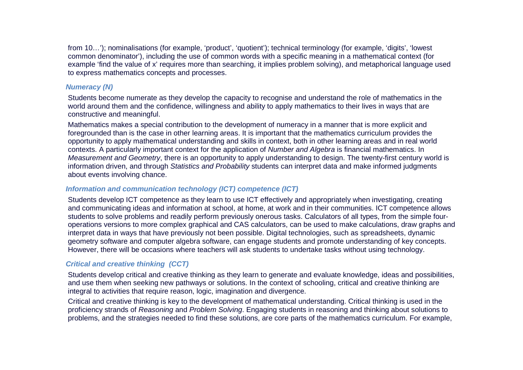from 10…'); nominalisations (for example, 'product', 'quotient'); technical terminology (for example, 'digits', 'lowest common denominator'), including the use of common words with a specific meaning in a mathematical context (for example 'find the value of x' requires more than searching, it implies problem solving), and metaphorical language used to express mathematics concepts and processes.

# **Numeracy (N)**

Students become numerate as they develop the capacity to recognise and understand the role of mathematics in the world around them and the confidence, willingness and ability to apply mathematics to their lives in ways that are constructive and meaningful.

Mathematics makes a special contribution to the development of numeracy in a manner that is more explicit and foregrounded than is the case in other learning areas. It is important that the mathematics curriculum provides the opportunity to apply mathematical understanding and skills in context, both in other learning areas and in real world contexts. A particularly important context for the application of Number and Algebra is financial mathematics. In Measurement and Geometry, there is an opportunity to apply understanding to design. The twenty-first century world is information driven, and through Statistics and Probability students can interpret data and make informed judgments about events involving chance.

# **Information and communication technology (ICT) competence (ICT)**

Students develop ICT competence as they learn to use ICT effectively and appropriately when investigating, creating and communicating ideas and information at school, at home, at work and in their communities. ICT competence allows students to solve problems and readily perform previously onerous tasks. Calculators of all types, from the simple fouroperations versions to more complex graphical and CAS calculators, can be used to make calculations, draw graphs and interpret data in ways that have previously not been possible. Digital technologies, such as spreadsheets, dynamic geometry software and computer algebra software, can engage students and promote understanding of key concepts. However, there will be occasions where teachers will ask students to undertake tasks without using technology.

# **Critical and creative thinking (CCT)**

Students develop critical and creative thinking as they learn to generate and evaluate knowledge, ideas and possibilities, and use them when seeking new pathways or solutions. In the context of schooling, critical and creative thinking are integral to activities that require reason, logic, imagination and divergence.

Critical and creative thinking is key to the development of mathematical understanding. Critical thinking is used in the proficiency strands of Reasoning and Problem Solving. Engaging students in reasoning and thinking about solutions to problems, and the strategies needed to find these solutions, are core parts of the mathematics curriculum. For example,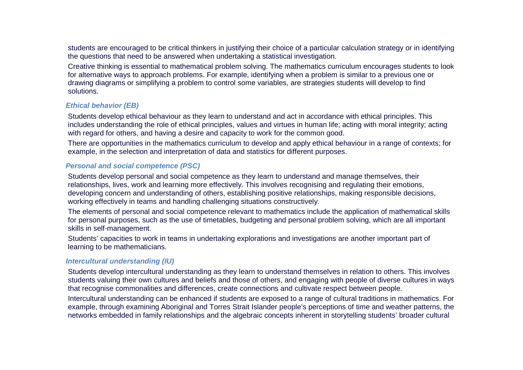students are encouraged to be critical thinkers in justifying their choice of a particular calculation strategy or in identifying the questions that need to be answered when undertaking a statistical investigation.

Creative thinking is essential to mathematical problem solving. The mathematics curriculum encourages students to look for alternative ways to approach problems. For example, identifying when a problem is similar to a previous one or drawing diagrams or simplifying a problem to control some variables, are strategies students will develop to find solutions.

# **Ethical behavior (EB)**

Students develop ethical behaviour as they learn to understand and act in accordance with ethical principles. This includes understanding the role of ethical principles, values and virtues in human life; acting with moral integrity; acting with regard for others, and having a desire and capacity to work for the common good.

There are opportunities in the mathematics curriculum to develop and apply ethical behaviour in a range of contexts; for example, in the selection and interpretation of data and statistics for different purposes.

#### **Personal and social competence (PSC)**

Students develop personal and social competence as they learn to understand and manage themselves, their relationships, lives, work and learning more effectively. This involves recognising and regulating their emotions, developing concern and understanding of others, establishing positive relationships, making responsible decisions, working effectively in teams and handling challenging situations constructively.

The elements of personal and social competence relevant to mathematics include the application of mathematical skills for personal purposes, such as the use of timetables, budgeting and personal problem solving, which are all important skills in self-management.

Students' capacities to work in teams in undertaking explorations and investigations are another important part of learning to be mathematicians.

# **Intercultural understanding (IU)**

Students develop intercultural understanding as they learn to understand themselves in relation to others. This involves students valuing their own cultures and beliefs and those of others, and engaging with people of diverse cultures in ways that recognise commonalities and differences, create connections and cultivate respect between people.

Intercultural understanding can be enhanced if students are exposed to a range of cultural traditions in mathematics. For example, through examining Aboriginal and Torres Strait Islander people's perceptions of time and weather patterns, the networks embedded in family relationships and the algebraic concepts inherent in storytelling students' broader cultural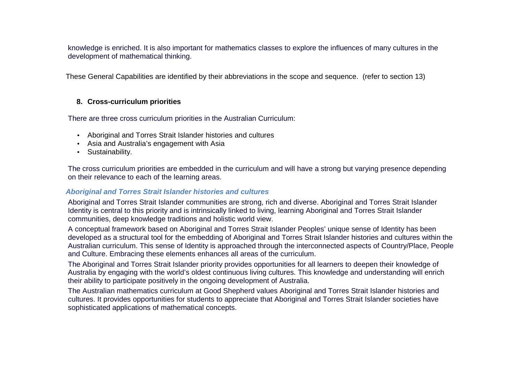knowledge is enriched. It is also important for mathematics classes to explore the influences of many cultures in the development of mathematical thinking.

These General Capabilities are identified by their abbreviations in the scope and sequence. (refer to section 13)

# **8. Cross-curriculum priorities**

There are three cross curriculum priorities in the Australian Curriculum:

- Aboriginal and Torres Strait Islander histories and cultures
- Asia and Australia's engagement with Asia
- Sustainability.

The cross curriculum priorities are embedded in the curriculum and will have a strong but varying presence depending on their relevance to each of the learning areas.

# **Aboriginal and Torres Strait Islander histories and cultures**

Aboriginal and Torres Strait Islander communities are strong, rich and diverse. Aboriginal and Torres Strait Islander Identity is central to this priority and is intrinsically linked to living, learning Aboriginal and Torres Strait Islander communities, deep knowledge traditions and holistic world view.

A conceptual framework based on Aboriginal and Torres Strait Islander Peoples' unique sense of Identity has been developed as a structural tool for the embedding of Aboriginal and Torres Strait Islander histories and cultures within the Australian curriculum. This sense of Identity is approached through the interconnected aspects of Country/Place, People and Culture. Embracing these elements enhances all areas of the curriculum.

The Aboriginal and Torres Strait Islander priority provides opportunities for all learners to deepen their knowledge of Australia by engaging with the world's oldest continuous living cultures. This knowledge and understanding will enrich their ability to participate positively in the ongoing development of Australia.

The Australian mathematics curriculum at Good Shepherd values Aboriginal and Torres Strait Islander histories and cultures. It provides opportunities for students to appreciate that Aboriginal and Torres Strait Islander societies have sophisticated applications of mathematical concepts.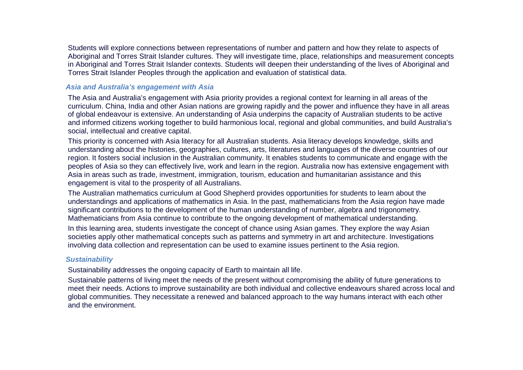Students will explore connections between representations of number and pattern and how they relate to aspects of Aboriginal and Torres Strait Islander cultures. They will investigate time, place, relationships and measurement concepts in Aboriginal and Torres Strait Islander contexts. Students will deepen their understanding of the lives of Aboriginal and Torres Strait Islander Peoples through the application and evaluation of statistical data.

## **Asia and Australia's engagement with Asia**

The Asia and Australia's engagement with Asia priority provides a regional context for learning in all areas of the curriculum. China, India and other Asian nations are growing rapidly and the power and influence they have in all areas of global endeavour is extensive. An understanding of Asia underpins the capacity of Australian students to be active and informed citizens working together to build harmonious local, regional and global communities, and build Australia's social, intellectual and creative capital.

This priority is concerned with Asia literacy for all Australian students. Asia literacy develops knowledge, skills and understanding about the histories, geographies, cultures, arts, literatures and languages of the diverse countries of our region. It fosters social inclusion in the Australian community. It enables students to communicate and engage with the peoples of Asia so they can effectively live, work and learn in the region. Australia now has extensive engagement with Asia in areas such as trade, investment, immigration, tourism, education and humanitarian assistance and this engagement is vital to the prosperity of all Australians.

The Australian mathematics curriculum at Good Shepherd provides opportunities for students to learn about the understandings and applications of mathematics in Asia. In the past, mathematicians from the Asia region have made significant contributions to the development of the human understanding of number, algebra and trigonometry. Mathematicians from Asia continue to contribute to the ongoing development of mathematical understanding.

In this learning area, students investigate the concept of chance using Asian games. They explore the way Asian societies apply other mathematical concepts such as patterns and symmetry in art and architecture. Investigations involving data collection and representation can be used to examine issues pertinent to the Asia region.

# **Sustainability**

Sustainability addresses the ongoing capacity of Earth to maintain all life.

Sustainable patterns of living meet the needs of the present without compromising the ability of future generations to meet their needs. Actions to improve sustainability are both individual and collective endeavours shared across local and global communities. They necessitate a renewed and balanced approach to the way humans interact with each other and the environment.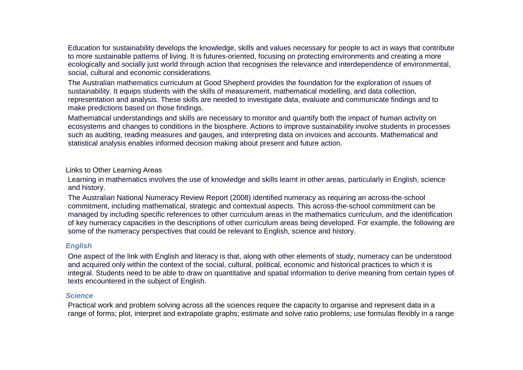Education for sustainability develops the knowledge, skills and values necessary for people to act in ways that contribute to more sustainable patterns of living. It is futures-oriented, focusing on protecting environments and creating a more ecologically and socially just world through action that recognises the relevance and interdependence of environmental, social, cultural and economic considerations.

The Australian mathematics curriculum at Good Shepherd provides the foundation for the exploration of issues of sustainability. It equips students with the skills of measurement, mathematical modelling, and data collection, representation and analysis. These skills are needed to investigate data, evaluate and communicate findings and to make predictions based on those findings.

Mathematical understandings and skills are necessary to monitor and quantify both the impact of human activity on ecosystems and changes to conditions in the biosphere. Actions to improve sustainability involve students in processes such as auditing, reading measures and gauges, and interpreting data on invoices and accounts. Mathematical and statistical analysis enables informed decision making about present and future action.

### Links to Other Learning Areas

Learning in mathematics involves the use of knowledge and skills learnt in other areas, particularly in English, science and history.

The Australian National Numeracy Review Report (2008) identified numeracy as requiring an across-the-school commitment, including mathematical, strategic and contextual aspects. This across-the-school commitment can be managed by including specific references to other curriculum areas in the mathematics curriculum, and the identification of key numeracy capacities in the descriptions of other curriculum areas being developed. For example, the following are some of the numeracy perspectives that could be relevant to English, science and history.

#### **English**

One aspect of the link with English and literacy is that, along with other elements of study, numeracy can be understood and acquired only within the context of the social, cultural, political, economic and historical practices to which it is integral. Students need to be able to draw on quantitative and spatial information to derive meaning from certain types of texts encountered in the subject of English.

#### **Science**

Practical work and problem solving across all the sciences require the capacity to organise and represent data in a range of forms; plot, interpret and extrapolate graphs; estimate and solve ratio problems; use formulas flexibly in a range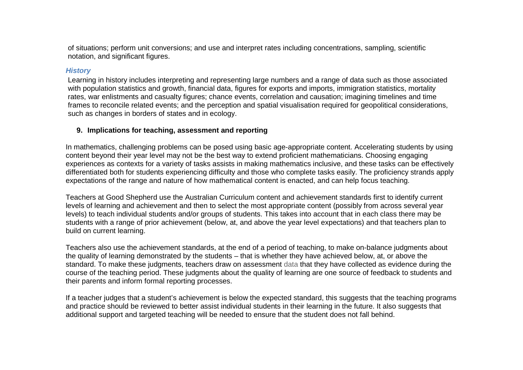of situations; perform unit conversions; and use and interpret rates including concentrations, sampling, scientific notation, and significant figures.

#### **History**

Learning in history includes interpreting and representing large numbers and a range of data such as those associated with population statistics and growth, financial data, figures for exports and imports, immigration statistics, mortality rates, war enlistments and casualty figures; chance events, correlation and causation; imagining timelines and time frames to reconcile related events; and the perception and spatial visualisation required for geopolitical considerations, such as changes in borders of states and in ecology.

#### **9. Implications for teaching, assessment and reporting**

In mathematics, challenging problems can be posed using basic age-appropriate content. Accelerating students by using content beyond their year level may not be the best way to extend proficient mathematicians. Choosing engaging experiences as contexts for a variety of tasks assists in making mathematics inclusive, and these tasks can be effectively differentiated both for students experiencing difficulty and those who complete tasks easily. The proficiency strands apply expectations of the range and nature of how mathematical content is enacted, and can help focus teaching.

Teachers at Good Shepherd use the Australian Curriculum content and achievement standards first to identify current levels of learning and achievement and then to select the most appropriate content (possibly from across several year levels) to teach individual students and/or groups of students. This takes into account that in each class there may be students with a range of prior achievement (below, at, and above the year level expectations) and that teachers plan to build on current learning.

Teachers also use the achievement standards, at the end of a period of teaching, to make on-balance judgments about the quality of learning demonstrated by the students – that is whether they have achieved below, at, or above the standard. To make these judgments, teachers draw on assessment data that they have collected as evidence during the course of the teaching period. These judgments about the quality of learning are one source of feedback to students and their parents and inform formal reporting processes.

If a teacher judges that a student's achievement is below the expected standard, this suggests that the teaching programs and practice should be reviewed to better assist individual students in their learning in the future. It also suggests that additional support and targeted teaching will be needed to ensure that the student does not fall behind.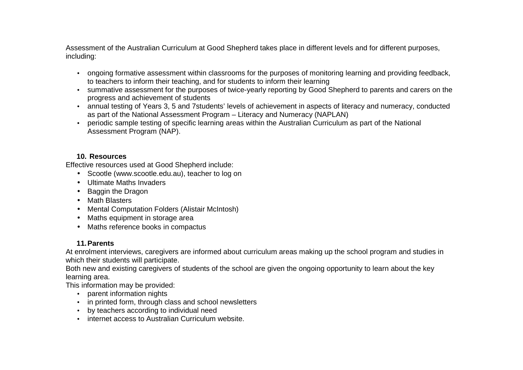Assessment of the Australian Curriculum at Good Shepherd takes place in different levels and for different purposes, including:

- ongoing formative assessment within classrooms for the purposes of monitoring learning and providing feedback, to teachers to inform their teaching, and for students to inform their learning
- summative assessment for the purposes of twice-yearly reporting by Good Shepherd to parents and carers on the progress and achievement of students
- annual testing of Years 3, 5 and 7students' levels of achievement in aspects of literacy and numeracy, conducted as part of the National Assessment Program – Literacy and Numeracy (NAPLAN)
- periodic sample testing of specific learning areas within the Australian Curriculum as part of the National Assessment Program (NAP).

# **10. Resources**

Effective resources used at Good Shepherd include:

- Scootle (www.scootle.edu.au), teacher to log on
- Ultimate Maths Invaders
- Baggin the Dragon
- Math Blasters
- Mental Computation Folders (Alistair McIntosh)
- Maths equipment in storage area
- Maths reference books in compactus

# **11. Parents**

 At enrolment interviews, caregivers are informed about curriculum areas making up the school program and studies in which their students will participate.

 Both new and existing caregivers of students of the school are given the ongoing opportunity to learn about the key learning area.

This information may be provided:

- parent information nights
- in printed form, through class and school newsletters
- by teachers according to individual need
- internet access to Australian Curriculum website.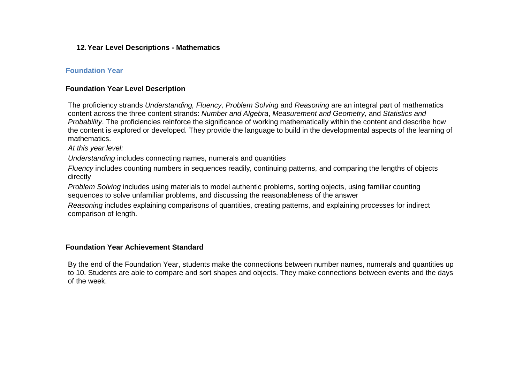# **12. Year Level Descriptions - Mathematics**

# **Foundation Year**

# **Foundation Year Level Description**

The proficiency strands Understanding, Fluency, Problem Solving and Reasoning are an integral part of mathematics content across the three content strands: Number and Algebra, Measurement and Geometry, and Statistics and<br>Entertainment in the content of the content of the content of the content of the content of the content of the Probability. The proficiencies reinforce the significance of working mathematically within the content and describe how the content is explored or developed. They provide the language to build in the developmental aspects of the learning of mathematics.

At this year level:

Understanding includes connecting names, numerals and quantities

Fluency includes counting numbers in sequences readily, continuing patterns, and comparing the lengths of objects directly

Problem Solving includes using materials to model authentic problems, sorting objects, using familiar counting sequences to solve unfamiliar problems, and discussing the reasonableness of the answer

Reasoning includes explaining comparisons of quantities, creating patterns, and explaining processes for indirect comparison of length.

#### **Foundation Year Achievement Standard**

By the end of the Foundation Year, students make the connections between number names, numerals and quantities up to 10. Students are able to compare and sort shapes and objects. They make connections between events and the days of the week.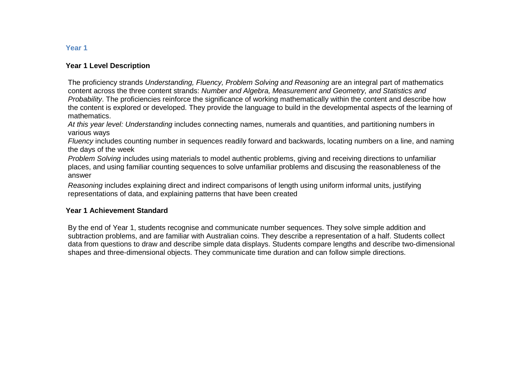# **Year 1 Level Description**

The proficiency strands Understanding, Fluency, Problem Solving and Reasoning are an integral part of mathematics content across the three content strands: Number and Algebra, Measurement and Geometry, and Statistics and Probability. The proficiencies reinforce the significance of working mathematically within the content and describe how the content is explored or developed. They provide the language to build in the developmental aspects of the learning of mathematics.

At this year level: Understanding includes connecting names, numerals and quantities, and partitioning numbers in various ways

Fluency includes counting number in sequences readily forward and backwards, locating numbers on a line, and naming the days of the week

Problem Solving includes using materials to model authentic problems, giving and receiving directions to unfamiliar places, and using familiar counting sequences to solve unfamiliar problems and discusing the reasonableness of the answer

Reasoning includes explaining direct and indirect comparisons of length using uniform informal units, justifyingrepresentations of data, and explaining patterns that have been created

# **Year 1 Achievement Standard**

By the end of Year 1, students recognise and communicate number sequences. They solve simple addition and subtraction problems, and are familiar with Australian coins. They describe a representation of a half. Students collect data from questions to draw and describe simple data displays. Students compare lengths and describe two-dimensional shapes and three-dimensional objects. They communicate time duration and can follow simple directions.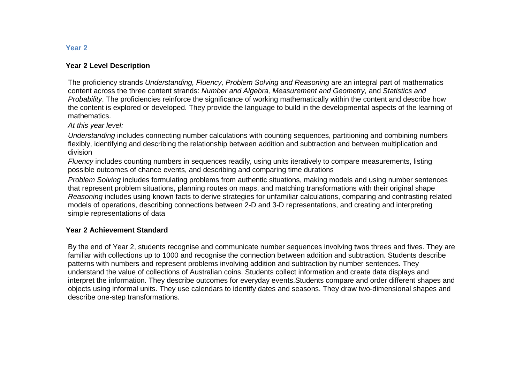# **Year 2 Level Description**

The proficiency strands Understanding, Fluency, Problem Solving and Reasoning are an integral part of mathematics content across the three content strands: Number and Algebra, Measurement and Geometry, and Statistics and Probability. The proficiencies reinforce the significance of working mathematically within the content and describe how the content is explored or developed. They provide the language to build in the developmental aspects of the learning of mathematics.

At this year level:

Understanding includes connecting number calculations with counting sequences, partitioning and combining numbers flexibly, identifying and describing the relationship between addition and subtraction and between multiplication and division

Fluency includes counting numbers in sequences readily, using units iteratively to compare measurements, listing possible outcomes of chance events, and describing and comparing time durations

Problem Solving includes formulating problems from authentic situations, making models and using number sentences that represent problem situations, planning routes on maps, and matching transformations with their original shape Reasoning includes using known facts to derive strategies for unfamiliar calculations, comparing and contrasting related models of operations, describing connections between 2-D and 3-D representations, and creating and interpreting simple representations of data

# **Year 2 Achievement Standard**

By the end of Year 2, students recognise and communicate number sequences involving twos threes and fives. They are familiar with collections up to 1000 and recognise the connection between addition and subtraction. Students describe patterns with numbers and represent problems involving addition and subtraction by number sentences. They understand the value of collections of Australian coins. Students collect information and create data displays and interpret the information. They describe outcomes for everyday events.Students compare and order different shapes and objects using informal units. They use calendars to identify dates and seasons. They draw two-dimensional shapes and describe one-step transformations.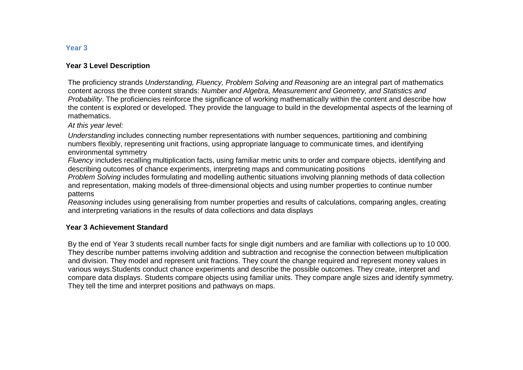# **Year 3 Level Description**

The proficiency strands Understanding, Fluency, Problem Solving and Reasoning are an integral part of mathematics content across the three content strands: Number and Algebra, Measurement and Geometry, and Statistics and Probability. The proficiencies reinforce the significance of working mathematically within the content and describe how the content is explored or developed. They provide the language to build in the developmental aspects of the learning of mathematics.

At this year level:

Understanding includes connecting number representations with number sequences, partitioning and combining numbers flexibly, representing unit fractions, using appropriate language to communicate times, and identifying environmental symmetry

Fluency includes recalling multiplication facts, using familiar metric units to order and compare objects, identifying and describing outcomes of chance experiments, interpreting maps and communicating positions

Problem Solving includes formulating and modelling authentic situations involving planning methods of data collection and representation, making models of three-dimensional objects and using number properties to continue number patterns

Reasoning includes using generalising from number properties and results of calculations, comparing angles, creating and interpreting variations in the results of data collections and data displays

# **Year 3 Achievement Standard**

By the end of Year 3 students recall number facts for single digit numbers and are familiar with collections up to 10 000. They describe number patterns involving addition and subtraction and recognise the connection between multiplication and division. They model and represent unit fractions. They count the change required and represent money values in various ways.Students conduct chance experiments and describe the possible outcomes. They create, interpret and compare data displays. Students compare objects using familiar units. They compare angle sizes and identify symmetry. They tell the time and interpret positions and pathways on maps.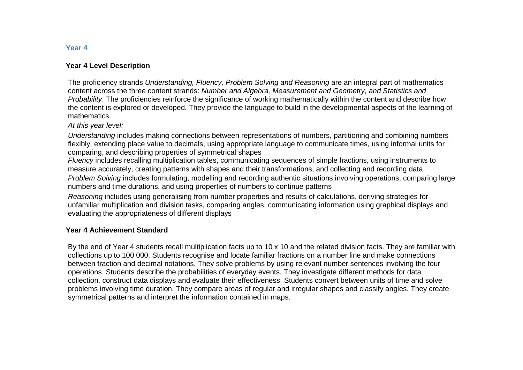# **Year 4 Level Description**

The proficiency strands Understanding, Fluency, Problem Solving and Reasoning are an integral part of mathematics content across the three content strands: Number and Algebra, Measurement and Geometry, and Statistics and Probability. The proficiencies reinforce the significance of working mathematically within the content and describe how the content is explored or developed. They provide the language to build in the developmental aspects of the learning of mathematics.

At this year level:

Understanding includes making connections between representations of numbers, partitioning and combining numbers flexibly, extending place value to decimals, using appropriate language to communicate times, using informal units for comparing, and describing properties of symmetrical shapes

Fluency includes recalling multiplication tables, communicating sequences of simple fractions, using instruments to measure accurately, creating patterns with shapes and their transformations, and collecting and recording data Problem Solving includes formulating, modelling and recording authentic situations involving operations, comparing large numbers and time durations, and using properties of numbers to continue patterns

Reasoning includes using generalising from number properties and results of calculations, deriving strategies for unfamiliar multiplication and division tasks, comparing angles, communicating information using graphical displays and evaluating the appropriateness of different displays

# **Year 4 Achievement Standard**

By the end of Year 4 students recall multiplication facts up to 10 x 10 and the related division facts. They are familiar with collections up to 100 000. Students recognise and locate familiar fractions on a number line and make connections between fraction and decimal notations. They solve problems by using relevant number sentences involving the four operations. Students describe the probabilities of everyday events. They investigate different methods for data collection, construct data displays and evaluate their effectiveness. Students convert between units of time and solve problems involving time duration. They compare areas of regular and irregular shapes and classify angles. They create symmetrical patterns and interpret the information contained in maps.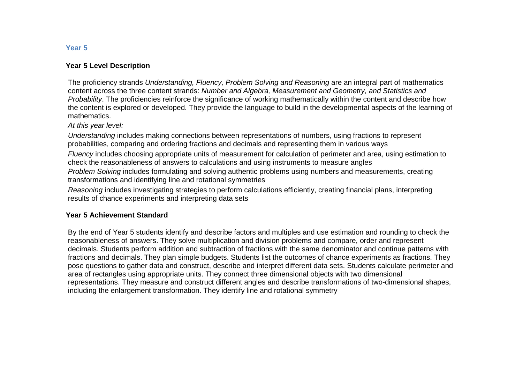# **Year 5 Level Description**

The proficiency strands Understanding, Fluency, Problem Solving and Reasoning are an integral part of mathematics content across the three content strands: Number and Algebra, Measurement and Geometry, and Statistics and Probability. The proficiencies reinforce the significance of working mathematically within the content and describe how the content is explored or developed. They provide the language to build in the developmental aspects of the learning of mathematics.

At this year level:

Understanding includes making connections between representations of numbers, using fractions to represent probabilities, comparing and ordering fractions and decimals and representing them in various ways

Fluency includes choosing appropriate units of measurement for calculation of perimeter and area, using estimation to check the reasonableness of answers to calculations and using instruments to measure angles

Problem Solving includes formulating and solving authentic problems using numbers and measurements, creating transformations and identifying line and rotational symmetries

Reasoning includes investigating strategies to perform calculations efficiently, creating financial plans, interpreting results of chance experiments and interpreting data sets

# **Year 5 Achievement Standard**

By the end of Year 5 students identify and describe factors and multiples and use estimation and rounding to check the reasonableness of answers. They solve multiplication and division problems and compare, order and represent decimals. Students perform addition and subtraction of fractions with the same denominator and continue patterns with fractions and decimals. They plan simple budgets. Students list the outcomes of chance experiments as fractions. They pose questions to gather data and construct, describe and interpret different data sets. Students calculate perimeter and area of rectangles using appropriate units. They connect three dimensional objects with two dimensional representations. They measure and construct different angles and describe transformations of two-dimensional shapes, including the enlargement transformation. They identify line and rotational symmetry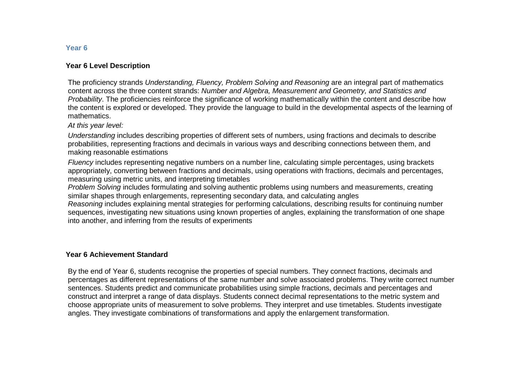# **Year 6 Level Description**

The proficiency strands Understanding, Fluency, Problem Solving and Reasoning are an integral part of mathematics content across the three content strands: Number and Algebra, Measurement and Geometry, and Statistics and Probability. The proficiencies reinforce the significance of working mathematically within the content and describe how the content is explored or developed. They provide the language to build in the developmental aspects of the learning of mathematics.

At this year level:

Understanding includes describing properties of different sets of numbers, using fractions and decimals to describe probabilities, representing fractions and decimals in various ways and describing connections between them, and making reasonable estimations

Fluency includes representing negative numbers on a number line, calculating simple percentages, using brackets appropriately, converting between fractions and decimals, using operations with fractions, decimals and percentages, measuring using metric units, and interpreting timetables

Problem Solving includes formulating and solving authentic problems using numbers and measurements, creating similar shapes through enlargements, representing secondary data, and calculating angles

Reasoning includes explaining mental strategies for performing calculations, describing results for continuing number sequences, investigating new situations using known properties of angles, explaining the transformation of one shape into another, and inferring from the results of experiments

# **Year 6 Achievement Standard**

By the end of Year 6, students recognise the properties of special numbers. They connect fractions, decimals and percentages as different representations of the same number and solve associated problems. They write correct number sentences. Students predict and communicate probabilities using simple fractions, decimals and percentages and construct and interpret a range of data displays. Students connect decimal representations to the metric system and choose appropriate units of measurement to solve problems. They interpret and use timetables. Students investigate angles. They investigate combinations of transformations and apply the enlargement transformation.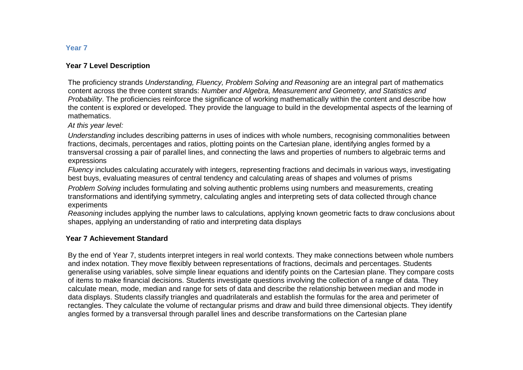# **Year 7 Level Description**

The proficiency strands Understanding, Fluency, Problem Solving and Reasoning are an integral part of mathematics content across the three content strands: Number and Algebra, Measurement and Geometry, and Statistics and Probability. The proficiencies reinforce the significance of working mathematically within the content and describe how the content is explored or developed. They provide the language to build in the developmental aspects of the learning of mathematics.

At this year level:

Understanding includes describing patterns in uses of indices with whole numbers, recognising commonalities betweenfractions, decimals, percentages and ratios, plotting points on the Cartesian plane, identifying angles formed by a transversal crossing a pair of parallel lines, and connecting the laws and properties of numbers to algebraic terms and expressions

Fluency includes calculating accurately with integers, representing fractions and decimals in various ways, investigating best buys, evaluating measures of central tendency and calculating areas of shapes and volumes of prisms

Problem Solving includes formulating and solving authentic problems using numbers and measurements, creating transformations and identifying symmetry, calculating angles and interpreting sets of data collected through chance experiments

Reasoning includes applying the number laws to calculations, applying known geometric facts to draw conclusions about shapes, applying an understanding of ratio and interpreting data displays

# **Year 7 Achievement Standard**

By the end of Year 7, students interpret integers in real world contexts. They make connections between whole numbers and index notation. They move flexibly between representations of fractions, decimals and percentages. Students generalise using variables, solve simple linear equations and identify points on the Cartesian plane. They compare costs of items to make financial decisions. Students investigate questions involving the collection of a range of data. They calculate mean, mode, median and range for sets of data and describe the relationship between median and mode in data displays. Students classify triangles and quadrilaterals and establish the formulas for the area and perimeter of rectangles. They calculate the volume of rectangular prisms and draw and build three dimensional objects. They identify angles formed by a transversal through parallel lines and describe transformations on the Cartesian plane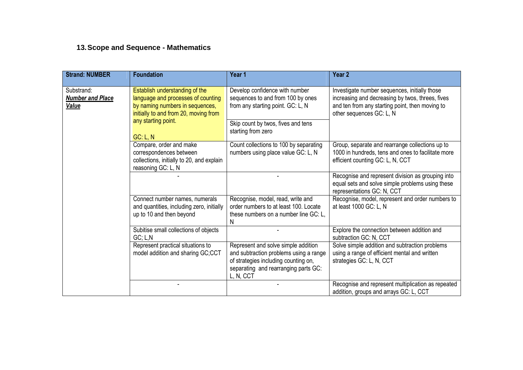# **13. Scope and Sequence - Mathematics**

| <b>Strand: NUMBER</b>                                 | <b>Foundation</b>                                                                                                                                                       | Year 1                                                                                                                                                                     | Year <sub>2</sub>                                                                                                                                                                |
|-------------------------------------------------------|-------------------------------------------------------------------------------------------------------------------------------------------------------------------------|----------------------------------------------------------------------------------------------------------------------------------------------------------------------------|----------------------------------------------------------------------------------------------------------------------------------------------------------------------------------|
| Substrand:<br><b>Number and Place</b><br><b>Value</b> | Establish understanding of the<br>language and processes of counting<br>by naming numbers in sequences,<br>initially to and from 20, moving from<br>any starting point. | Develop confidence with number<br>sequences to and from 100 by ones<br>from any starting point. GC: L, N<br>Skip count by twos, fives and tens<br>starting from zero       | Investigate number sequences, initially those<br>increasing and decreasing by twos, threes, fives<br>and ten from any starting point, then moving to<br>other sequences GC: L, N |
|                                                       | <b>GC: L, N</b><br>Compare, order and make<br>correspondences between<br>collections, initially to 20, and explain<br>reasoning GC: L, N                                | Count collections to 100 by separating<br>numbers using place value GC: L, N                                                                                               | Group, separate and rearrange collections up to<br>1000 in hundreds, tens and ones to facilitate more<br>efficient counting GC: L, N, CCT                                        |
|                                                       |                                                                                                                                                                         |                                                                                                                                                                            | Recognise and represent division as grouping into<br>equal sets and solve simple problems using these<br>representations GC: N, CCT                                              |
|                                                       | Connect number names, numerals<br>and quantities, including zero, initially<br>up to 10 and then beyond                                                                 | Recognise, model, read, write and<br>order numbers to at least 100. Locate<br>these numbers on a number line GC: L,<br>N                                                   | Recognise, model, represent and order numbers to<br>at least 1000 GC: L, N                                                                                                       |
|                                                       | Subitise small collections of objects<br>GC; L,N                                                                                                                        |                                                                                                                                                                            | Explore the connection between addition and<br>subtraction GC: N, CCT                                                                                                            |
|                                                       | Represent practical situations to<br>model addition and sharing GC;CCT                                                                                                  | Represent and solve simple addition<br>and subtraction problems using a range<br>of strategies including counting on,<br>separating and rearranging parts GC:<br>L, N, CCT | Solve simple addition and subtraction problems<br>using a range of efficient mental and written<br>strategies GC: L, N, CCT                                                      |
|                                                       |                                                                                                                                                                         |                                                                                                                                                                            | Recognise and represent multiplication as repeated<br>addition, groups and arrays GC: L, CCT                                                                                     |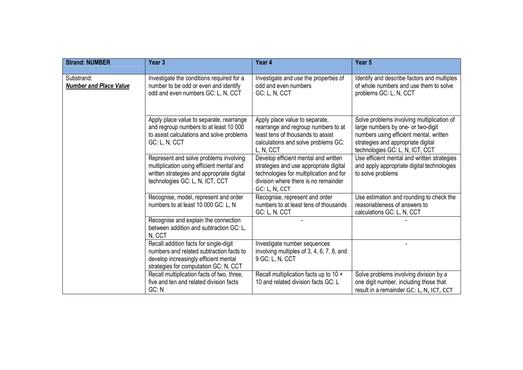| <b>Strand: NUMBER</b>                       | Year <sub>3</sub>                                                                                                                                                    | Year 4                                                                                                                                                                             | Year <sub>5</sub>                                                                                                                                                                                    |
|---------------------------------------------|----------------------------------------------------------------------------------------------------------------------------------------------------------------------|------------------------------------------------------------------------------------------------------------------------------------------------------------------------------------|------------------------------------------------------------------------------------------------------------------------------------------------------------------------------------------------------|
| Substrand:<br><b>Number and Place Value</b> | Investigate the conditions required for a<br>number to be odd or even and identify<br>odd and even numbers GC: L, N, CCT                                             | Investigate and use the properties of<br>odd and even numbers<br>GC: L, N, CCT                                                                                                     | Identify and describe factors and multiples<br>of whole numbers and use them to solve<br>problems GC: L, N, CCT                                                                                      |
|                                             | Apply place value to separate, rearrange<br>and regroup numbers to at least 10 000<br>to assist calculations and solve problems<br>GC: L, N, CCT                     | Apply place value to separate,<br>rearrange and regroup numbers to at<br>least tens of thousands to assist<br>calculations and solve problems GC:<br>L, N, CCT                     | Solve problems involving multiplication of<br>large numbers by one- or two-digit<br>numbers using efficient mental, written<br>strategies and appropriate digital<br>technologies GC: L, N, ICT, CCT |
|                                             | Represent and solve problems involving<br>multiplication using efficient mental and<br>written strategies and appropriate digital<br>technologies GC: L, N, ICT, CCT | Develop efficient mental and written<br>strategies and use appropriate digital<br>technologies for multiplication and for<br>division where there is no remainder<br>GC: L, N, CCT | Use efficient mental and written strategies<br>and apply appropriate digital technologies<br>to solve problems                                                                                       |
|                                             | Recognise, model, represent and order<br>numbers to at least 10 000 GC: L, N                                                                                         | Recognise, represent and order<br>numbers to at least tens of thousands<br>GC: L, N, CCT                                                                                           | Use estimation and rounding to check the<br>reasonableness of answers to<br>calculations GC: L, N, CCT                                                                                               |
|                                             | Recognise and explain the connection<br>between addition and subtraction GC: L,<br>N, CCT                                                                            |                                                                                                                                                                                    |                                                                                                                                                                                                      |
|                                             | Recall addition facts for single-digit<br>numbers and related subtraction facts to<br>develop increasingly efficient mental<br>strategies for computation GC: N, CCT | Investigate number sequences<br>involving multiples of 3, 4, 6, 7, 8, and<br>9 GC: L, N, CCT                                                                                       |                                                                                                                                                                                                      |
|                                             | Recall multiplication facts of two, three,<br>five and ten and related division facts<br>GC: N                                                                       | Recall multiplication facts up to 10 x<br>10 and related division facts GC: L                                                                                                      | Solve problems involving division by a<br>one digit number, including those that<br>result in a remainder GC: L, N, ICT, CCT                                                                         |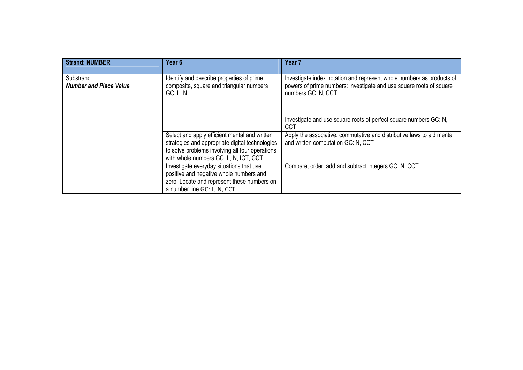| <b>Strand: NUMBER</b>                       | Year <sub>6</sub>                                                                                                                                                                            | Year <sub>7</sub>                                                                                                                                                  |
|---------------------------------------------|----------------------------------------------------------------------------------------------------------------------------------------------------------------------------------------------|--------------------------------------------------------------------------------------------------------------------------------------------------------------------|
| Substrand:<br><b>Number and Place Value</b> | Identify and describe properties of prime,<br>composite, square and triangular numbers<br>GC: L, N                                                                                           | Investigate index notation and represent whole numbers as products of<br>powers of prime numbers: investigate and use square roots of square<br>numbers GC: N, CCT |
|                                             |                                                                                                                                                                                              | Investigate and use square roots of perfect square numbers GC: N,<br><b>CCT</b>                                                                                    |
|                                             | Select and apply efficient mental and written<br>strategies and appropriate digital technologies<br>to solve problems involving all four operations<br>with whole numbers GC: L, N, ICT, CCT | Apply the associative, commutative and distributive laws to aid mental<br>and written computation GC: N, CCT                                                       |
|                                             | Investigate everyday situations that use<br>positive and negative whole numbers and                                                                                                          | Compare, order, add and subtract integers GC: N, CCT                                                                                                               |
|                                             | zero. Locate and represent these numbers on<br>a number line GC: L, N, CCT                                                                                                                   |                                                                                                                                                                    |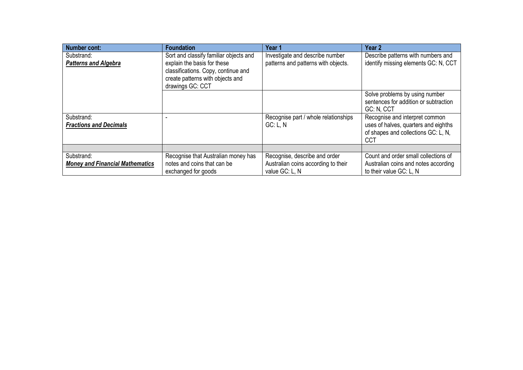| <b>Number cont:</b>                         | <b>Foundation</b>                                                                           | Year 1                                                                 | Year 2                                                                                                               |
|---------------------------------------------|---------------------------------------------------------------------------------------------|------------------------------------------------------------------------|----------------------------------------------------------------------------------------------------------------------|
| Substrand:<br><b>Patterns and Algebra</b>   | Sort and classify familiar objects and<br>explain the basis for these                       | Investigate and describe number<br>patterns and patterns with objects. | Describe patterns with numbers and<br>identify missing elements GC: N, CCT                                           |
|                                             | classifications. Copy, continue and<br>create patterns with objects and<br>drawings GC: CCT |                                                                        |                                                                                                                      |
|                                             |                                                                                             |                                                                        | Solve problems by using number<br>sentences for addition or subtraction<br>GC: N, CCT                                |
| Substrand:<br><b>Fractions and Decimals</b> |                                                                                             | Recognise part / whole relationships<br>GC: L, N                       | Recognise and interpret common<br>uses of halves, quarters and eighths<br>of shapes and collections GC: L, N,<br>CCT |
|                                             |                                                                                             |                                                                        |                                                                                                                      |
| Substrand:                                  | Recognise that Australian money has                                                         | Recognise, describe and order                                          | Count and order small collections of                                                                                 |
| <b>Money and Financial Mathematics</b>      | notes and coins that can be<br>exchanged for goods                                          | Australian coins according to their<br>value GC: L, N                  | Australian coins and notes according<br>to their value GC: L, N                                                      |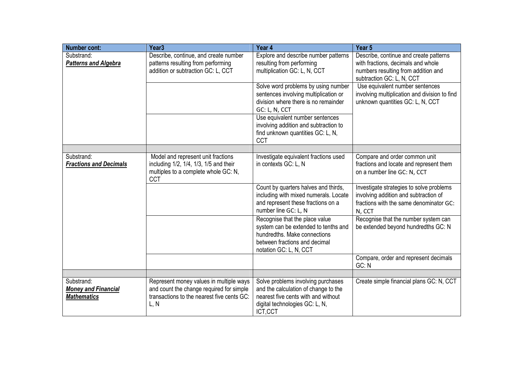| <b>Number cont:</b>                                            | Year <sub>3</sub>                                                                                                                         | Year 4                                                                                                                                                                   | Year 5                                                                                                                                           |
|----------------------------------------------------------------|-------------------------------------------------------------------------------------------------------------------------------------------|--------------------------------------------------------------------------------------------------------------------------------------------------------------------------|--------------------------------------------------------------------------------------------------------------------------------------------------|
| Substrand:<br><b>Patterns and Algebra</b>                      | Describe, continue, and create number<br>patterns resulting from performing<br>addition or subtraction GC: L, CCT                         | Explore and describe number patterns<br>resulting from performing<br>multiplication GC: L, N, CCT                                                                        | Describe, continue and create patterns<br>with fractions, decimals and whole<br>numbers resulting from addition and<br>subtraction GC: L, N, CCT |
|                                                                |                                                                                                                                           | Solve word problems by using number<br>sentences involving multiplication or<br>division where there is no remainder<br>GC: L, N, CCT<br>Use equivalent number sentences | Use equivalent number sentences<br>involving multiplication and division to find<br>unknown quantities GC: L, N, CCT                             |
|                                                                |                                                                                                                                           | involving addition and subtraction to<br>find unknown quantities GC: L, N,<br><b>CCT</b>                                                                                 |                                                                                                                                                  |
|                                                                |                                                                                                                                           |                                                                                                                                                                          |                                                                                                                                                  |
| Substrand:<br><b>Fractions and Decimals</b>                    | Model and represent unit fractions<br>including 1/2, 1/4, 1/3, 1/5 and their<br>multiples to a complete whole GC: N,<br><b>CCT</b>        | Investigate equivalent fractions used<br>in contexts GC: L, N                                                                                                            | Compare and order common unit<br>fractions and locate and represent them<br>on a number line GC: N, CCT                                          |
|                                                                |                                                                                                                                           | Count by quarters halves and thirds,<br>including with mixed numerals. Locate<br>and represent these fractions on a<br>number line GC: L, N                              | Investigate strategies to solve problems<br>involving addition and subtraction of<br>fractions with the same denominator GC:<br>N, CCT           |
|                                                                |                                                                                                                                           | Recognise that the place value<br>system can be extended to tenths and<br>hundredths. Make connections<br>between fractions and decimal<br>notation GC: L, N, CCT        | Recognise that the number system can<br>be extended beyond hundredths GC: N                                                                      |
|                                                                |                                                                                                                                           |                                                                                                                                                                          | Compare, order and represent decimals<br>GC: N                                                                                                   |
|                                                                |                                                                                                                                           |                                                                                                                                                                          |                                                                                                                                                  |
| Substrand:<br><b>Money and Financial</b><br><b>Mathematics</b> | Represent money values in multiple ways<br>and count the change required for simple<br>transactions to the nearest five cents GC:<br>L, N | Solve problems involving purchases<br>and the calculation of change to the<br>nearest five cents with and without<br>digital technologies GC: L, N,<br>ICT,CCT           | Create simple financial plans GC: N, CCT                                                                                                         |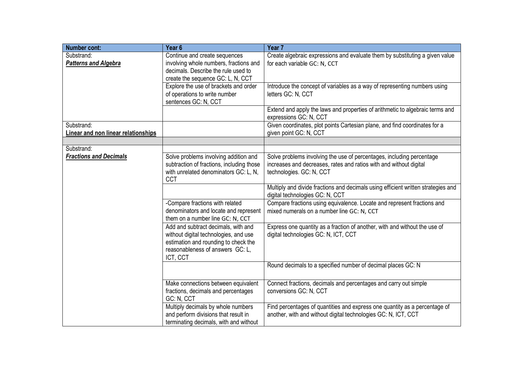| <b>Number cont:</b>                                      | Year <sub>6</sub>                                                                                                                                                    | Year <sub>7</sub>                                                                                                                                                       |
|----------------------------------------------------------|----------------------------------------------------------------------------------------------------------------------------------------------------------------------|-------------------------------------------------------------------------------------------------------------------------------------------------------------------------|
| Substrand:<br><b>Patterns and Algebra</b>                | Continue and create sequences<br>involving whole numbers, fractions and<br>decimals. Describe the rule used to<br>create the sequence GC: L, N, CCT                  | Create algebraic expressions and evaluate them by substituting a given value<br>for each variable GC: N, CCT                                                            |
|                                                          | Explore the use of brackets and order<br>of operations to write number<br>sentences GC: N, CCT                                                                       | Introduce the concept of variables as a way of representing numbers using<br>letters GC: N, CCT                                                                         |
|                                                          |                                                                                                                                                                      | Extend and apply the laws and properties of arithmetic to algebraic terms and<br>expressions GC: N, CCT                                                                 |
| Substrand:<br><b>Linear and non linear relationships</b> |                                                                                                                                                                      | Given coordinates, plot points Cartesian plane, and find coordinates for a<br>given point GC: N, CCT                                                                    |
| Substrand:                                               |                                                                                                                                                                      |                                                                                                                                                                         |
| <b>Fractions and Decimals</b>                            | Solve problems involving addition and<br>subtraction of fractions, including those<br>with unrelated denominators GC: L, N,<br>CCT                                   | Solve problems involving the use of percentages, including percentage<br>increases and decreases, rates and ratios with and without digital<br>technologies. GC: N, CCT |
|                                                          |                                                                                                                                                                      | Multiply and divide fractions and decimals using efficient written strategies and<br>digital technologies GC: N, CCT                                                    |
|                                                          | -Compare fractions with related<br>denominators and locate and represent<br>them on a number line GC: N, CCT                                                         | Compare fractions using equivalence. Locate and represent fractions and<br>mixed numerals on a number line GC: N, CCT                                                   |
|                                                          | Add and subtract decimals, with and<br>without digital technologies, and use<br>estimation and rounding to check the<br>reasonableness of answers GC: L,<br>ICT, CCT | Express one quantity as a fraction of another, with and without the use of<br>digital technologies GC: N, ICT, CCT                                                      |
|                                                          |                                                                                                                                                                      | Round decimals to a specified number of decimal places GC: N                                                                                                            |
|                                                          | Make connections between equivalent<br>fractions, decimals and percentages<br>GC: N, CCT                                                                             | Connect fractions, decimals and percentages and carry out simple<br>conversions GC: N, CCT                                                                              |
|                                                          | Multiply decimals by whole numbers<br>and perform divisions that result in<br>terminating decimals, with and without                                                 | Find percentages of quantities and express one quantity as a percentage of<br>another, with and without digital technologies GC: N, ICT, CCT                            |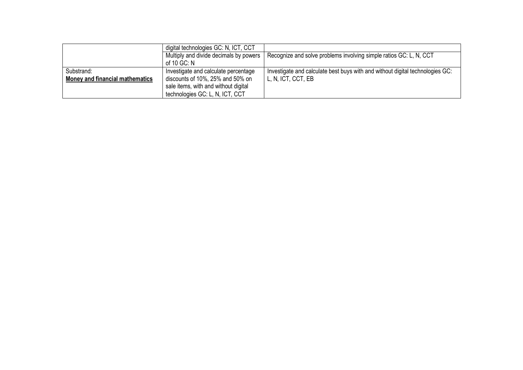|                                 | digital technologies GC: N, ICT, CCT   |                                                                               |
|---------------------------------|----------------------------------------|-------------------------------------------------------------------------------|
|                                 | Multiply and divide decimals by powers | Recognize and solve problems involving simple ratios GC: L, N, CCT            |
|                                 | of 10 GC: N                            |                                                                               |
| Substrand:                      | Investigate and calculate percentage   | Investigate and calculate best buys with and without digital technologies GC: |
| Money and financial mathematics | discounts of 10%, 25% and 50% on       | L, N, ICT, CCT, EB                                                            |
|                                 | sale items, with and without digital   |                                                                               |
|                                 | technologies GC: L, N, ICT, CCT        |                                                                               |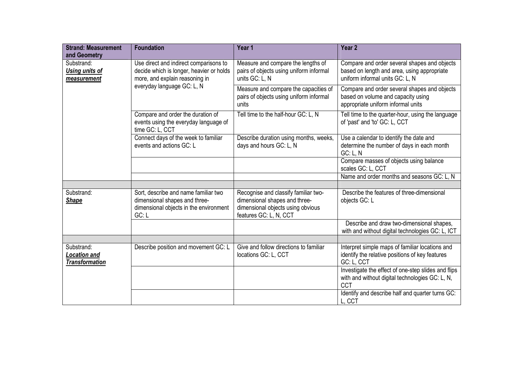| <b>Strand: Measurement</b><br>and Geometry         | <b>Foundation</b>                                                                                                                                  | Year 1                                                                                                                               | Year <sub>2</sub>                                                                                                              |
|----------------------------------------------------|----------------------------------------------------------------------------------------------------------------------------------------------------|--------------------------------------------------------------------------------------------------------------------------------------|--------------------------------------------------------------------------------------------------------------------------------|
| Substrand:<br><b>Using units of</b><br>measurement | Use direct and indirect comparisons to<br>decide which is longer, heavier or holds<br>more, and explain reasoning in<br>everyday language GC: L, N | Measure and compare the lengths of<br>pairs of objects using uniform informal<br>units GC: L, N                                      | Compare and order several shapes and objects<br>based on length and area, using appropriate<br>uniform informal units GC: L, N |
|                                                    |                                                                                                                                                    | Measure and compare the capacities of<br>pairs of objects using uniform informal<br>units                                            | Compare and order several shapes and objects<br>based on volume and capacity using<br>appropriate uniform informal units       |
|                                                    | Compare and order the duration of<br>events using the everyday language of<br>time GC: L, CCT                                                      | Tell time to the half-hour GC: L, N                                                                                                  | Tell time to the quarter-hour, using the language<br>of 'past' and 'to' GC: L, CCT                                             |
|                                                    | Connect days of the week to familiar<br>events and actions GC: L                                                                                   | Describe duration using months, weeks,<br>days and hours GC: L, N                                                                    | Use a calendar to identify the date and<br>determine the number of days in each month<br>GC: L, N                              |
|                                                    |                                                                                                                                                    |                                                                                                                                      | Compare masses of objects using balance<br>scales GC: L, CCT                                                                   |
|                                                    |                                                                                                                                                    |                                                                                                                                      | Name and order months and seasons GC: L, N                                                                                     |
| Substrand:<br><b>Shape</b>                         | Sort, describe and name familiar two<br>dimensional shapes and three-<br>dimensional objects in the environment<br>GC: L                           | Recognise and classify familiar two-<br>dimensional shapes and three-<br>dimensional objects using obvious<br>features GC: L, N, CCT | Describe the features of three-dimensional<br>objects GC: L                                                                    |
|                                                    |                                                                                                                                                    |                                                                                                                                      | Describe and draw two-dimensional shapes,<br>with and without digital technologies GC: L, ICT                                  |
| Substrand:                                         | Describe position and movement GC: L                                                                                                               | Give and follow directions to familiar                                                                                               | Interpret simple maps of familiar locations and                                                                                |
| <b>Location and</b><br><b>Transformation</b>       |                                                                                                                                                    | locations GC: L, CCT                                                                                                                 | identify the relative positions of key features<br>GC: L, CCT                                                                  |
|                                                    |                                                                                                                                                    |                                                                                                                                      | Investigate the effect of one-step slides and flips<br>with and without digital technologies GC: L, N,<br><b>CCT</b>           |
|                                                    |                                                                                                                                                    |                                                                                                                                      | Identify and describe half and quarter turns GC:<br>L, CCT                                                                     |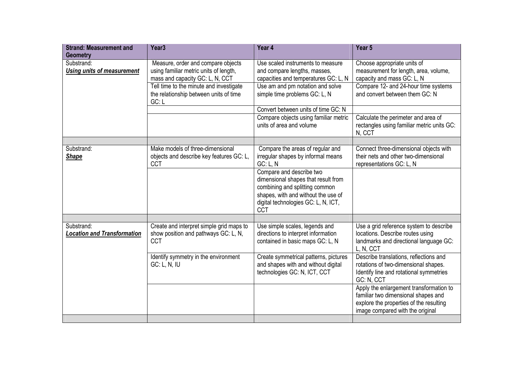| <b>Strand: Measurement and</b><br><b>Geometry</b> | Year <sub>3</sub>                                                                                                                                                                                             | Year 4                                                                                                                                                                                                                                                                                     | Year <sub>5</sub>                                                                                                                                                                                                                                                                                                                                                                                                                              |
|---------------------------------------------------|---------------------------------------------------------------------------------------------------------------------------------------------------------------------------------------------------------------|--------------------------------------------------------------------------------------------------------------------------------------------------------------------------------------------------------------------------------------------------------------------------------------------|------------------------------------------------------------------------------------------------------------------------------------------------------------------------------------------------------------------------------------------------------------------------------------------------------------------------------------------------------------------------------------------------------------------------------------------------|
| Substrand:<br><b>Using units of measurement</b>   | Measure, order and compare objects<br>using familiar metric units of length,<br>mass and capacity GC: L, N, CCT<br>Tell time to the minute and investigate<br>the relationship between units of time<br>GC: L | Use scaled instruments to measure<br>and compare lengths, masses,<br>capacities and temperatures GC: L, N<br>Use am and pm notation and solve<br>simple time problems GC: L, N<br>Convert between units of time GC: N<br>Compare objects using familiar metric<br>units of area and volume | Choose appropriate units of<br>measurement for length, area, volume,<br>capacity and mass GC: L, N<br>Compare 12- and 24-hour time systems<br>and convert between them GC: N<br>Calculate the perimeter and area of                                                                                                                                                                                                                            |
|                                                   |                                                                                                                                                                                                               |                                                                                                                                                                                                                                                                                            | rectangles using familiar metric units GC:<br>N, CCT                                                                                                                                                                                                                                                                                                                                                                                           |
| Substrand:<br><b>Shape</b>                        | Make models of three-dimensional<br>objects and describe key features GC: L,<br><b>CCT</b>                                                                                                                    | Compare the areas of regular and<br>irregular shapes by informal means<br>GC: L, N<br>Compare and describe two<br>dimensional shapes that result from<br>combining and splitting common<br>shapes, with and without the use of<br>digital technologies GC: L, N, ICT,<br><b>CCT</b>        | Connect three-dimensional objects with<br>their nets and other two-dimensional<br>representations GC: L, N                                                                                                                                                                                                                                                                                                                                     |
|                                                   |                                                                                                                                                                                                               |                                                                                                                                                                                                                                                                                            |                                                                                                                                                                                                                                                                                                                                                                                                                                                |
| Substrand:<br><b>Location and Transformation</b>  | Create and interpret simple grid maps to<br>show position and pathways GC: L, N,<br><b>CCT</b><br>Identify symmetry in the environment<br><b>GC: L, N, IU</b>                                                 | Use simple scales, legends and<br>directions to interpret information<br>contained in basic maps GC: L, N<br>Create symmetrical patterns, pictures<br>and shapes with and without digital<br>technologies GC: N, ICT, CCT                                                                  | Use a grid reference system to describe<br>locations. Describe routes using<br>landmarks and directional language GC:<br>L, N, CCT<br>Describe translations, reflections and<br>rotations of two-dimensional shapes.<br>Identify line and rotational symmetries<br>GC: N, CCT<br>Apply the enlargement transformation to<br>familiar two dimensional shapes and<br>explore the properties of the resulting<br>image compared with the original |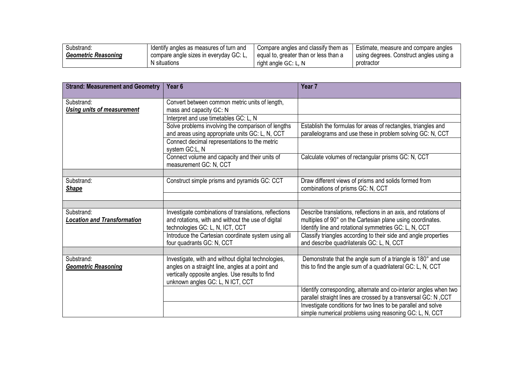| Substrand:                 | Identify angles as measures of turn and | Compare angles and classify them as   | J Estimate, measure and compare angles  |
|----------------------------|-----------------------------------------|---------------------------------------|-----------------------------------------|
| <b>Geometric Reasoning</b> | compare angle sizes in everyday GC: L,  | equal to, greater than or less than a | using degrees. Construct angles using a |
|                            | N situations                            | right angle GC: L, N                  | protractor                              |

| <b>Strand: Measurement and Geometry</b>          | Year <sub>6</sub>                                                                                                                                                                              | Year <sub>7</sub>                                                                                                                                                                      |
|--------------------------------------------------|------------------------------------------------------------------------------------------------------------------------------------------------------------------------------------------------|----------------------------------------------------------------------------------------------------------------------------------------------------------------------------------------|
| Substrand:<br><b>Using units of measurement</b>  | Convert between common metric units of length,<br>mass and capacity GC: N                                                                                                                      |                                                                                                                                                                                        |
|                                                  | Interpret and use timetables GC: L, N                                                                                                                                                          |                                                                                                                                                                                        |
|                                                  | Solve problems involving the comparison of lengths<br>and areas using appropriate units GC: L, N, CCT                                                                                          | Establish the formulas for areas of rectangles, triangles and<br>parallelograms and use these in problem solving GC: N, CCT                                                            |
|                                                  | Connect decimal representations to the metric<br>system GC:L, N                                                                                                                                |                                                                                                                                                                                        |
|                                                  | Connect volume and capacity and their units of<br>measurement GC: N, CCT                                                                                                                       | Calculate volumes of rectangular prisms GC: N, CCT                                                                                                                                     |
|                                                  |                                                                                                                                                                                                |                                                                                                                                                                                        |
| Substrand:<br><b>Shape</b>                       | Construct simple prisms and pyramids GC: CCT                                                                                                                                                   | Draw different views of prisms and solids formed from<br>combinations of prisms GC: N, CCT                                                                                             |
|                                                  |                                                                                                                                                                                                |                                                                                                                                                                                        |
|                                                  |                                                                                                                                                                                                |                                                                                                                                                                                        |
| Substrand:<br><b>Location and Transformation</b> | Investigate combinations of translations, reflections<br>and rotations, with and without the use of digital<br>technologies GC: L, N, ICT, CCT                                                 | Describe translations, reflections in an axis, and rotations of<br>multiples of 90° on the Cartesian plane using coordinates.<br>Identify line and rotational symmetries GC: L, N, CCT |
|                                                  | Introduce the Cartesian coordinate system using all<br>four quadrants GC: N, CCT                                                                                                               | Classify triangles according to their side and angle properties<br>and describe quadrilaterals GC: L, N, CCT                                                                           |
|                                                  |                                                                                                                                                                                                |                                                                                                                                                                                        |
| Substrand:<br><b>Geometric Reasoning</b>         | Investigate, with and without digital technologies,<br>angles on a straight line, angles at a point and<br>vertically opposite angles. Use results to find<br>unknown angles GC: L, N ICT, CCT | Demonstrate that the angle sum of a triangle is 180° and use<br>this to find the angle sum of a quadrilateral GC: L, N, CCT                                                            |
|                                                  |                                                                                                                                                                                                | Identify corresponding, alternate and co-interior angles when two<br>parallel straight lines are crossed by a transversal GC: N, CCT                                                   |
|                                                  |                                                                                                                                                                                                | Investigate conditions for two lines to be parallel and solve<br>simple numerical problems using reasoning GC: L, N, CCT                                                               |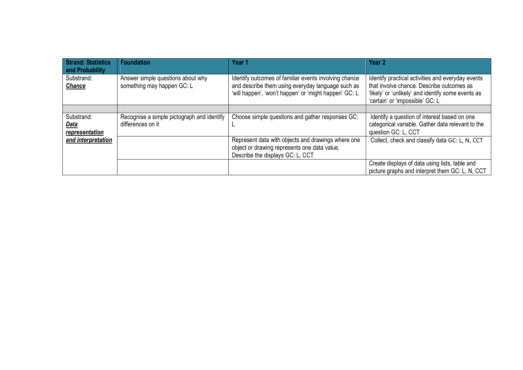| <b>Strand: Statistics</b><br>and Probability | <b>Foundation</b>                                               | Year 1                                                                                                                                                              | Year <sub>2</sub>                                                                                                                                                                       |
|----------------------------------------------|-----------------------------------------------------------------|---------------------------------------------------------------------------------------------------------------------------------------------------------------------|-----------------------------------------------------------------------------------------------------------------------------------------------------------------------------------------|
| Substrand:<br><b>Chance</b>                  | Answer simple questions about why<br>something may happen GC: L | Identify outcomes of familiar events involving chance<br>and describe them using everyday language such as<br>'will happen', 'won't happen' or 'might happen' GC: L | Identify practical activities and everyday events<br>that involve chance. Describe outcomes as<br>'likely' or 'unlikely' and identify some events as<br>'certain' or 'impossible' GC: L |
|                                              |                                                                 |                                                                                                                                                                     |                                                                                                                                                                                         |
| Substrand:<br><u>Data</u><br>representation  | Recognise a simple pictograph and identify<br>differences on it | Choose simple questions and gather responses GC:                                                                                                                    | Identify a question of interest based on one<br>categorical variable. Gather data relevant to the<br>question GC: L, CCT                                                                |
| and interpretation                           |                                                                 | Represent data with objects and drawings where one<br>object or drawing represents one data value.<br>Describe the displays GC: L, CCT                              | Collect, check and classify data GC: L, N, CCT                                                                                                                                          |
|                                              |                                                                 |                                                                                                                                                                     | Create displays of data using lists, table and<br>picture graphs and interpret them GC: L, N, CCT                                                                                       |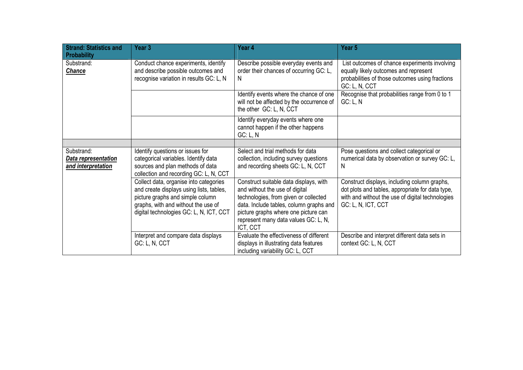| <b>Strand: Statistics and</b><br><b>Probability</b>     | Year 3                                                                                                                                                                                                   | Year 4                                                                                                                                                                                                                                                   | Year 5                                                                                                                                                                     |
|---------------------------------------------------------|----------------------------------------------------------------------------------------------------------------------------------------------------------------------------------------------------------|----------------------------------------------------------------------------------------------------------------------------------------------------------------------------------------------------------------------------------------------------------|----------------------------------------------------------------------------------------------------------------------------------------------------------------------------|
| Substrand:<br><b>Chance</b>                             | Conduct chance experiments, identify<br>and describe possible outcomes and<br>recognise variation in results GC: L, N                                                                                    | Describe possible everyday events and<br>order their chances of occurring GC: L,<br>N                                                                                                                                                                    | List outcomes of chance experiments involving<br>equally likely outcomes and represent<br>probabilities of those outcomes using fractions<br>GC: L, N, CCT                 |
|                                                         |                                                                                                                                                                                                          | Identify events where the chance of one<br>will not be affected by the occurrence of<br>the other GC: L, N, CCT                                                                                                                                          | Recognise that probabilities range from 0 to 1<br>GC: L, N                                                                                                                 |
|                                                         |                                                                                                                                                                                                          | Identify everyday events where one<br>cannot happen if the other happens<br>GC: L, N                                                                                                                                                                     |                                                                                                                                                                            |
|                                                         |                                                                                                                                                                                                          |                                                                                                                                                                                                                                                          |                                                                                                                                                                            |
| Substrand:<br>Data representation<br>and interpretation | Identify questions or issues for<br>categorical variables. Identify data<br>sources and plan methods of data<br>collection and recording GC: L, N, CCT                                                   | Select and trial methods for data<br>collection, including survey questions<br>and recording sheets GC: L, N, CCT                                                                                                                                        | Pose questions and collect categorical or<br>numerical data by observation or survey GC: L,<br>N                                                                           |
|                                                         | Collect data, organise into categories<br>and create displays using lists, tables,<br>picture graphs and simple column<br>graphs, with and without the use of<br>digital technologies GC: L, N, ICT, CCT | Construct suitable data displays, with<br>and without the use of digital<br>technologies, from given or collected<br>data. Include tables, column graphs and<br>picture graphs where one picture can<br>represent many data values GC: L, N,<br>ICT, CCT | Construct displays, including column graphs,<br>dot plots and tables, appropriate for data type,<br>with and without the use of digital technologies<br>GC: L, N, ICT, CCT |
|                                                         | Interpret and compare data displays<br>GC: L, N, CCT                                                                                                                                                     | Evaluate the effectiveness of different<br>displays in illustrating data features<br>including variability GC: L, CCT                                                                                                                                    | Describe and interpret different data sets in<br>context GC: L, N, CCT                                                                                                     |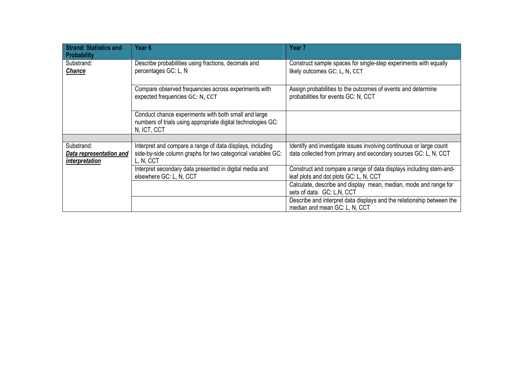| <b>Strand: Statistics and</b><br><b>Probability</b>     | Year 6                                                                                                                                 | Year 7                                                                                                                                 |
|---------------------------------------------------------|----------------------------------------------------------------------------------------------------------------------------------------|----------------------------------------------------------------------------------------------------------------------------------------|
| Substrand:<br><b>Chance</b>                             | Describe probabilities using fractions, decimals and<br>percentages GC: L, N                                                           | Construct sample spaces for single-step experiments with equally<br>likely outcomes GC: L, N, CCT                                      |
|                                                         | Compare observed frequencies across experiments with<br>expected frequencies GC: N, CCT                                                | Assign probabilities to the outcomes of events and determine<br>probabilities for events GC: N, CCT                                    |
|                                                         | Conduct chance experiments with both small and large<br>numbers of trials using appropriate digital technologies GC:<br>N, ICT, CCT    |                                                                                                                                        |
|                                                         |                                                                                                                                        |                                                                                                                                        |
| Substrand:<br>Data representation and<br>interpretation | Interpret and compare a range of data displays, including<br>side-by-side column graphs for two categorical variables GC:<br>L, N, CCT | Identify and investigate issues involving continuous or large count<br>data collected from primary and secondary sources GC: L, N, CCT |
|                                                         | Interpret secondary data presented in digital media and<br>elsewhere GC: L, N, CCT                                                     | Construct and compare a range of data displays including stem-and-<br>leaf plots and dot plots GC: L, N, CCT                           |
|                                                         |                                                                                                                                        | Calculate, describe and display mean, median, mode and range for<br>sets of data. GC: L,N, CCT                                         |
|                                                         |                                                                                                                                        | Describe and interpret data displays and the relationship between the<br>median and mean GC: L, N, CCT                                 |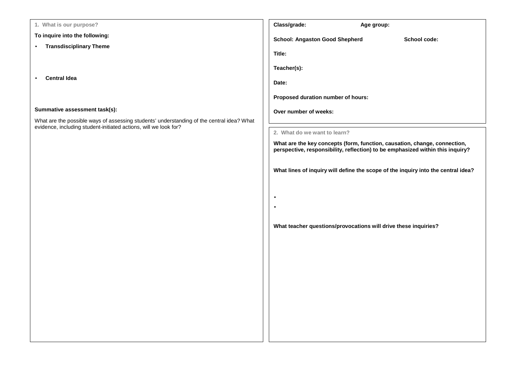| 1. What is our purpose?                                                                                                                                       | Class/grade                  |
|---------------------------------------------------------------------------------------------------------------------------------------------------------------|------------------------------|
| To inquire into the following:                                                                                                                                | School: Ang                  |
| <b>Transdisciplinary Theme</b><br>$\bullet$                                                                                                                   | Title:                       |
| <b>Central Idea</b><br>$\bullet$                                                                                                                              | Teacher(s):                  |
|                                                                                                                                                               | Date:<br>Proposed di         |
| Summative assessment task(s):                                                                                                                                 | Over numbe                   |
| What are the possible ways of assessing students' understanding of the central idea? What<br>evidence, including student-initiated actions, will we look for? |                              |
|                                                                                                                                                               | 2. What do                   |
|                                                                                                                                                               | What are the<br>perspective, |
|                                                                                                                                                               | What lines o                 |
|                                                                                                                                                               |                              |
|                                                                                                                                                               |                              |
|                                                                                                                                                               | What teache                  |
|                                                                                                                                                               |                              |
|                                                                                                                                                               |                              |
|                                                                                                                                                               |                              |
|                                                                                                                                                               |                              |
|                                                                                                                                                               |                              |
|                                                                                                                                                               |                              |

| Class/grade:                                                    | Age group: |                                                                                                                                                             |
|-----------------------------------------------------------------|------------|-------------------------------------------------------------------------------------------------------------------------------------------------------------|
| <b>School: Angaston Good Shepherd</b>                           |            | School code:                                                                                                                                                |
| Title:                                                          |            |                                                                                                                                                             |
| Teacher(s):                                                     |            |                                                                                                                                                             |
| Date:                                                           |            |                                                                                                                                                             |
| Proposed duration number of hours:                              |            |                                                                                                                                                             |
| Over number of weeks:                                           |            |                                                                                                                                                             |
| 2. What do we want to learn?                                    |            |                                                                                                                                                             |
|                                                                 |            | What are the key concepts (form, function, causation, change, connection,<br>perspective, responsibility, reflection) to be emphasized within this inquiry? |
|                                                                 |            | What lines of inquiry will define the scope of the inquiry into the central idea?                                                                           |
|                                                                 |            |                                                                                                                                                             |
|                                                                 |            |                                                                                                                                                             |
|                                                                 |            |                                                                                                                                                             |
|                                                                 |            |                                                                                                                                                             |
| What teacher questions/provocations will drive these inquiries? |            |                                                                                                                                                             |
|                                                                 |            |                                                                                                                                                             |
|                                                                 |            |                                                                                                                                                             |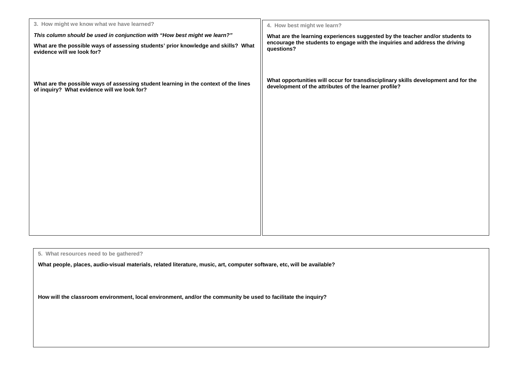| 3. How might we know what we have learned?                                                                                          | 4. How best might we learn?                                                                                                                                                |  |
|-------------------------------------------------------------------------------------------------------------------------------------|----------------------------------------------------------------------------------------------------------------------------------------------------------------------------|--|
| This column should be used in conjunction with "How best might we learn?"                                                           | What are the learning experiences suggested by the teacher and/or students to<br>encourage the students to engage with the inquiries and address the driving<br>questions? |  |
| What are the possible ways of assessing students' prior knowledge and skills? What<br>evidence will we look for?                    |                                                                                                                                                                            |  |
| What are the possible ways of assessing student learning in the context of the lines<br>of inquiry? What evidence will we look for? | What opportunities will occur for transdisciplinary skills development and for the<br>development of the attributes of the learner profile?                                |  |
|                                                                                                                                     |                                                                                                                                                                            |  |
|                                                                                                                                     |                                                                                                                                                                            |  |
|                                                                                                                                     |                                                                                                                                                                            |  |

**5. What resources need to be gathered?**

**What people, places, audio-visual materials, related literature, music, art, computer software, etc, will be available?** 

**How will the classroom environment, local environment, and/or the community be used to facilitate the inquiry?**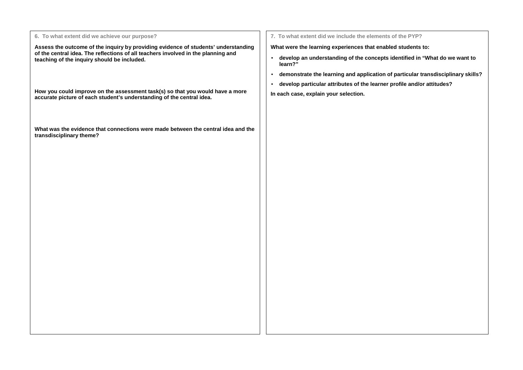| 6. To what extent did we achieve our purpose?                                                                                                                                                                          | 7. To what extent did we include the elements of the PYP?                                          |
|------------------------------------------------------------------------------------------------------------------------------------------------------------------------------------------------------------------------|----------------------------------------------------------------------------------------------------|
| Assess the outcome of the inquiry by providing evidence of students' understanding<br>of the central idea. The reflections of all teachers involved in the planning and<br>teaching of the inquiry should be included. | What were the learning experiences that enabled students to:                                       |
|                                                                                                                                                                                                                        | develop an understanding of the concepts identified in "What do we want to<br>$\bullet$<br>learn?" |
|                                                                                                                                                                                                                        | demonstrate the learning and application of particular transdisciplinary skills?<br>$\bullet$      |
|                                                                                                                                                                                                                        | develop particular attributes of the learner profile and/or attitudes?<br>$\bullet$                |
| How you could improve on the assessment task(s) so that you would have a more<br>accurate picture of each student's understanding of the central idea.                                                                 | In each case, explain your selection.                                                              |
|                                                                                                                                                                                                                        |                                                                                                    |
| What was the evidence that connections were made between the central idea and the<br>transdisciplinary theme?                                                                                                          |                                                                                                    |
|                                                                                                                                                                                                                        |                                                                                                    |
|                                                                                                                                                                                                                        |                                                                                                    |
|                                                                                                                                                                                                                        |                                                                                                    |
|                                                                                                                                                                                                                        |                                                                                                    |
|                                                                                                                                                                                                                        |                                                                                                    |
|                                                                                                                                                                                                                        |                                                                                                    |
|                                                                                                                                                                                                                        |                                                                                                    |
|                                                                                                                                                                                                                        |                                                                                                    |
|                                                                                                                                                                                                                        |                                                                                                    |
|                                                                                                                                                                                                                        |                                                                                                    |
|                                                                                                                                                                                                                        |                                                                                                    |
|                                                                                                                                                                                                                        |                                                                                                    |
|                                                                                                                                                                                                                        |                                                                                                    |
|                                                                                                                                                                                                                        |                                                                                                    |
|                                                                                                                                                                                                                        |                                                                                                    |
|                                                                                                                                                                                                                        |                                                                                                    |
|                                                                                                                                                                                                                        |                                                                                                    |
|                                                                                                                                                                                                                        |                                                                                                    |
|                                                                                                                                                                                                                        |                                                                                                    |